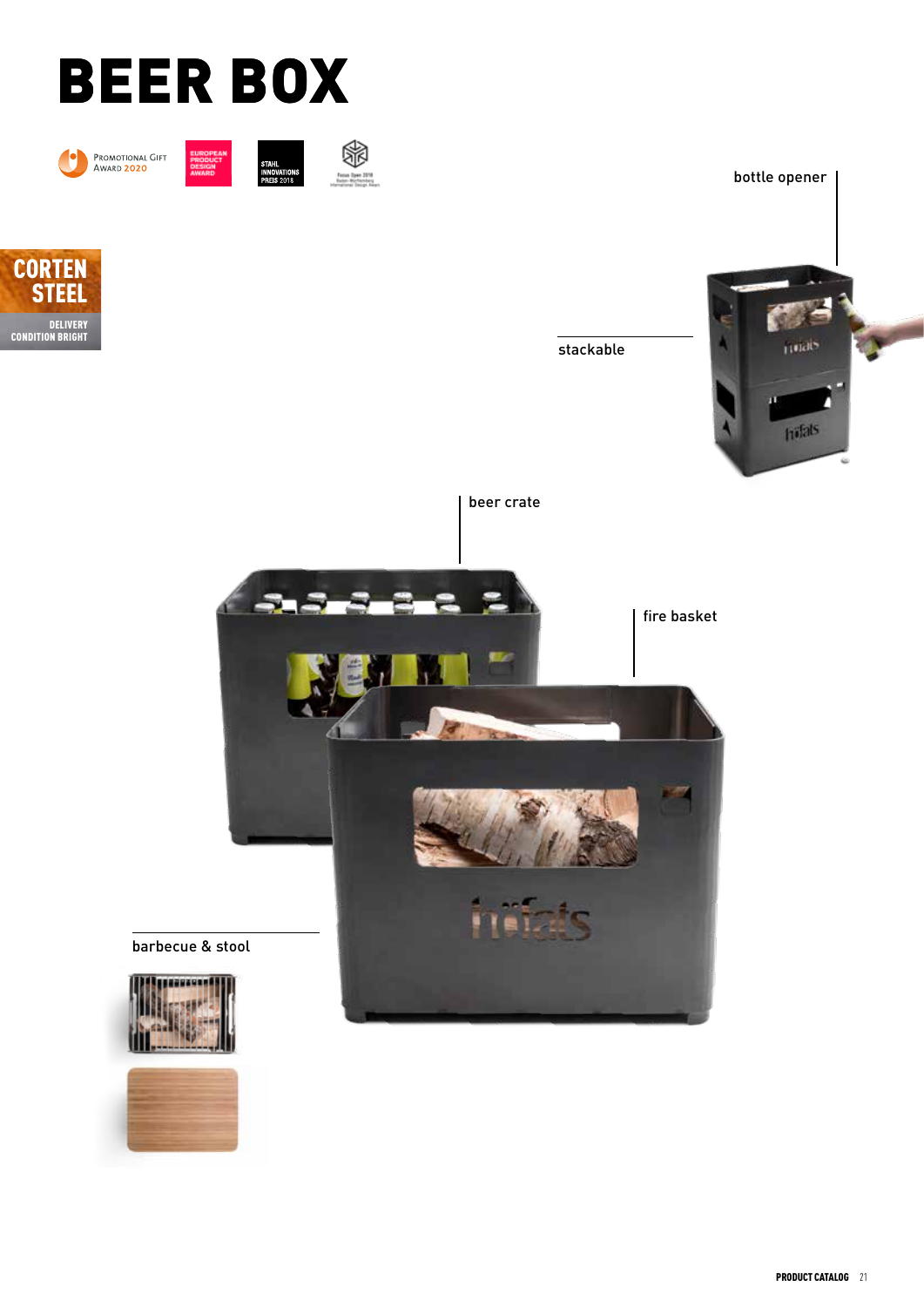